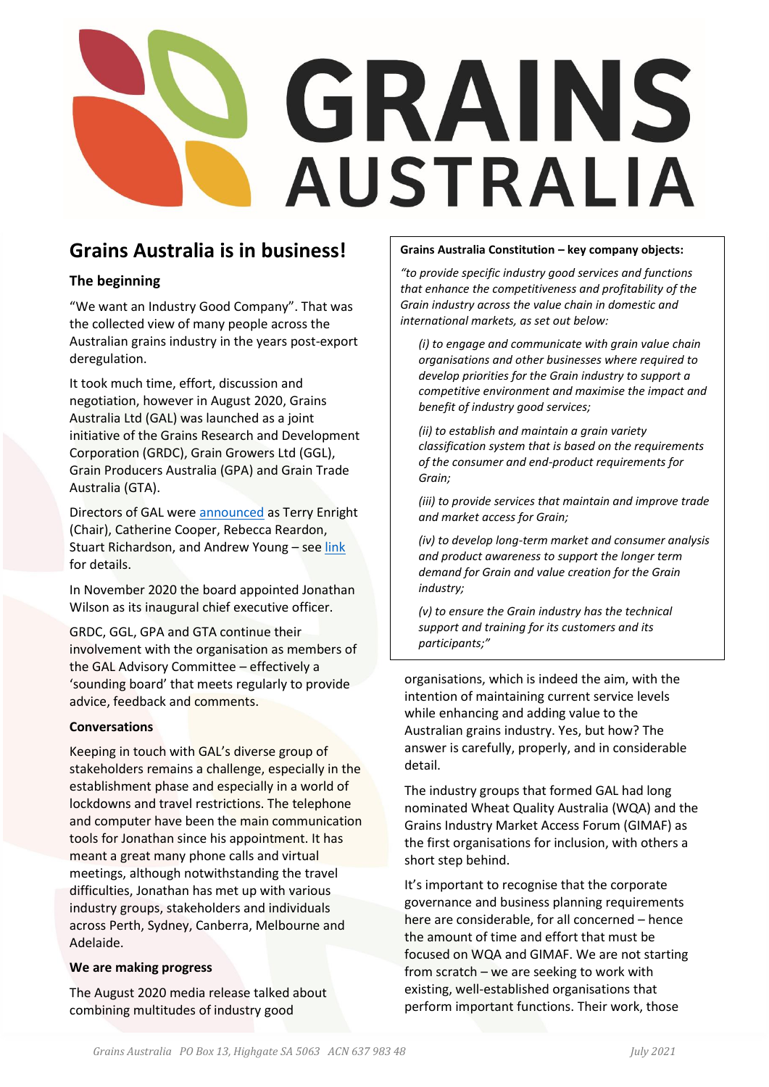# GRAINS **AUSTRALIA**

# **Grains Australia is in business!**

# **The beginning**

"We want an Industry Good Company". That was the collected view of many people across the Australian grains industry in the years post-export deregulation.

It took much time, effort, discussion and negotiation, however in August 2020, Grains Australia Ltd (GAL) was launched as a joint initiative of the Grains Research and Development Corporation (GRDC), Grain Growers Ltd (GGL), Grain Producers Australia (GPA) and Grain Trade Australia (GTA).

Directors of GAL were [announced](https://grdc.com.au/news-and-media/news-and-media-releases/national/2020/august/grains-australia-launches-with-leaders-on-board) as Terry Enright (Chair), Catherine Cooper, Rebecca Reardon, Stuart Richardson, and Andrew Young – se[e link](https://grdc.com.au/news-and-media/news-and-media-releases/national/2020/august/grains-australia-launches-with-leaders-on-board) for details.

In November 2020 the board appointed Jonathan Wilson as its inaugural chief executive officer.

GRDC, GGL, GPA and GTA continue their involvement with the organisation as members of the GAL Advisory Committee – effectively a 'sounding board' that meets regularly to provide advice, feedback and comments.

## **Conversations**

Keeping in touch with GAL's diverse group of stakeholders remains a challenge, especially in the establishment phase and especially in a world of lockdowns and travel restrictions. The telephone and computer have been the main communication tools for Jonathan since his appointment. It has meant a great many phone calls and virtual meetings, although notwithstanding the travel difficulties, Jonathan has met up with various industry groups, stakeholders and individuals across Perth, Sydney, Canberra, Melbourne and Adelaide.

#### **We are making progress**

The August 2020 media release talked about combining multitudes of industry good

#### **Grains Australia Constitution – key company objects:**

*"to provide specific industry good services and functions that enhance the competitiveness and profitability of the Grain industry across the value chain in domestic and international markets, as set out below:* 

*(i) to engage and communicate with grain value chain organisations and other businesses where required to develop priorities for the Grain industry to support a competitive environment and maximise the impact and benefit of industry good services;* 

*(ii) to establish and maintain a grain variety classification system that is based on the requirements of the consumer and end-product requirements for Grain;* 

*(iii) to provide services that maintain and improve trade and market access for Grain;* 

*(iv) to develop long-term market and consumer analysis and product awareness to support the longer term demand for Grain and value creation for the Grain industry;* 

*(v) to ensure the Grain industry has the technical support and training for its customers and its participants;"*

organisations, which is indeed the aim, with the intention of maintaining current service levels while enhancing and adding value to the Australian grains industry. Yes, but how? The answer is carefully, properly, and in considerable detail.

The industry groups that formed GAL had long nominated Wheat Quality Australia (WQA) and the Grains Industry Market Access Forum (GIMAF) as the first organisations for inclusion, with others a short step behind.

It's important to recognise that the corporate governance and business planning requirements here are considerable, for all concerned – hence the amount of time and effort that must be focused on WQA and GIMAF. We are not starting from scratch – we are seeking to work with existing, well-established organisations that perform important functions. Their work, those